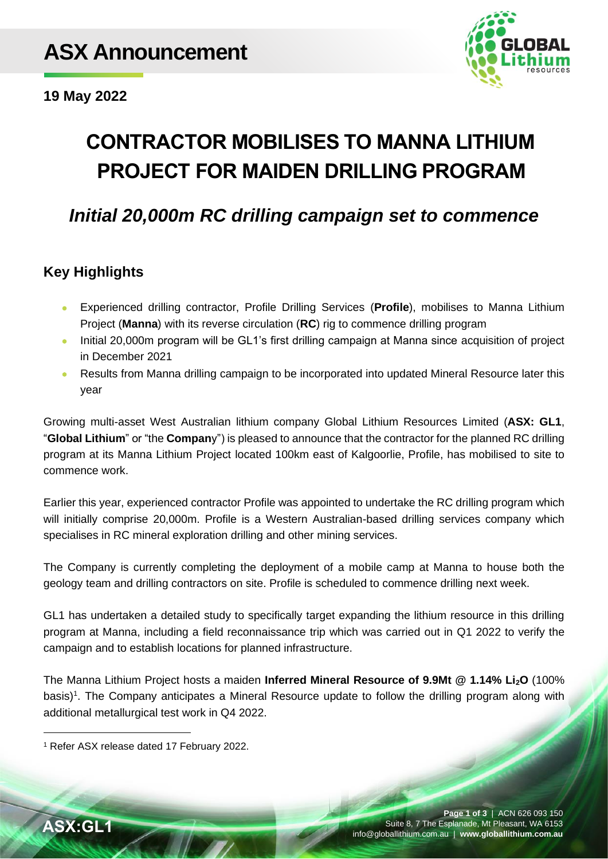

**19 May 2022**

# **CONTRACTOR MOBILISES TO MANNA LITHIUM PROJECT FOR MAIDEN DRILLING PROGRAM**

# *Initial 20,000m RC drilling campaign set to commence*

## **Key Highlights**

- Experienced drilling contractor, Profile Drilling Services (**Profile**), mobilises to Manna Lithium Project (**Manna**) with its reverse circulation (**RC**) rig to commence drilling program
- Initial 20,000m program will be GL1's first drilling campaign at Manna since acquisition of project in December 2021
- Results from Manna drilling campaign to be incorporated into updated Mineral Resource later this year

Growing multi-asset West Australian lithium company Global Lithium Resources Limited (**ASX: GL1**, "**Global Lithium**" or "the **Compan**y") is pleased to announce that the contractor for the planned RC drilling program at its Manna Lithium Project located 100km east of Kalgoorlie, Profile, has mobilised to site to commence work.

Earlier this year, experienced contractor Profile was appointed to undertake the RC drilling program which will initially comprise 20,000m. Profile is a Western Australian-based drilling services company which specialises in RC mineral exploration drilling and other mining services.

The Company is currently completing the deployment of a mobile camp at Manna to house both the geology team and drilling contractors on site. Profile is scheduled to commence drilling next week.

GL1 has undertaken a detailed study to specifically target expanding the lithium resource in this drilling program at Manna, including a field reconnaissance trip which was carried out in Q1 2022 to verify the campaign and to establish locations for planned infrastructure.

The Manna Lithium Project hosts a maiden **Inferred Mineral Resource of 9.9Mt @ 1.14% Li2O** (100% basis)<sup>1</sup>. The Company anticipates a Mineral Resource update to follow the drilling program along with additional metallurgical test work in Q4 2022.

<sup>1</sup> Refer ASX release dated 17 February 2022.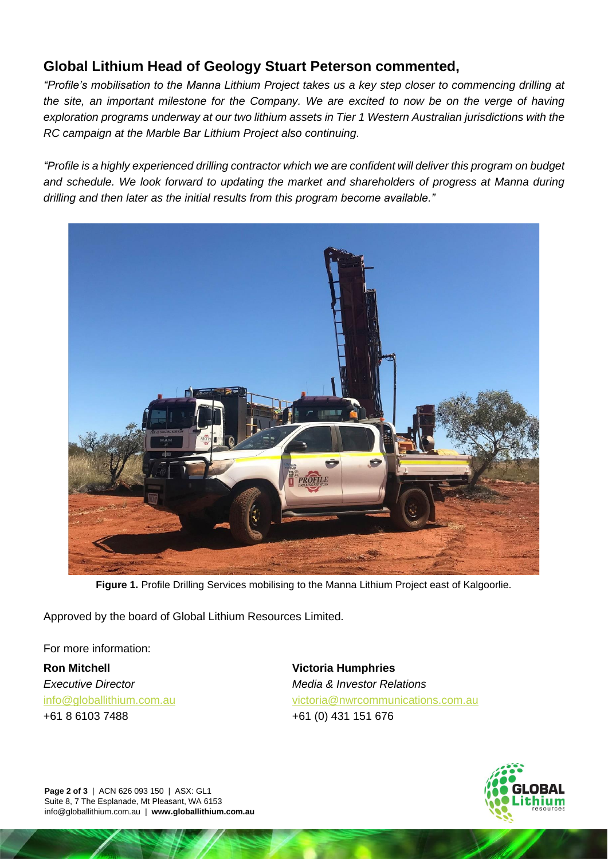### **Global Lithium Head of Geology Stuart Peterson commented,**

*"Profile's mobilisation to the Manna Lithium Project takes us a key step closer to commencing drilling at the site, an important milestone for the Company. We are excited to now be on the verge of having exploration programs underway at our two lithium assets in Tier 1 Western Australian jurisdictions with the RC campaign at the Marble Bar Lithium Project also continuing.*

*"Profile is a highly experienced drilling contractor which we are confident will deliver this program on budget and schedule. We look forward to updating the market and shareholders of progress at Manna during drilling and then later as the initial results from this program become available."*



**Figure 1.** Profile Drilling Services mobilising to the Manna Lithium Project east of Kalgoorlie.

Approved by the board of Global Lithium Resources Limited.

For more information:

**Ron Mitchell** *Executive Director* [info@globallithium.com.au](mailto:info@globallithium.com.au) +61 8 6103 7488

**Victoria Humphries** *Media & Investor Relations* [victoria@nwrcommunications.com.au](mailto:victoria@nwrcommunications.com.au) +61 (0) 431 151 676